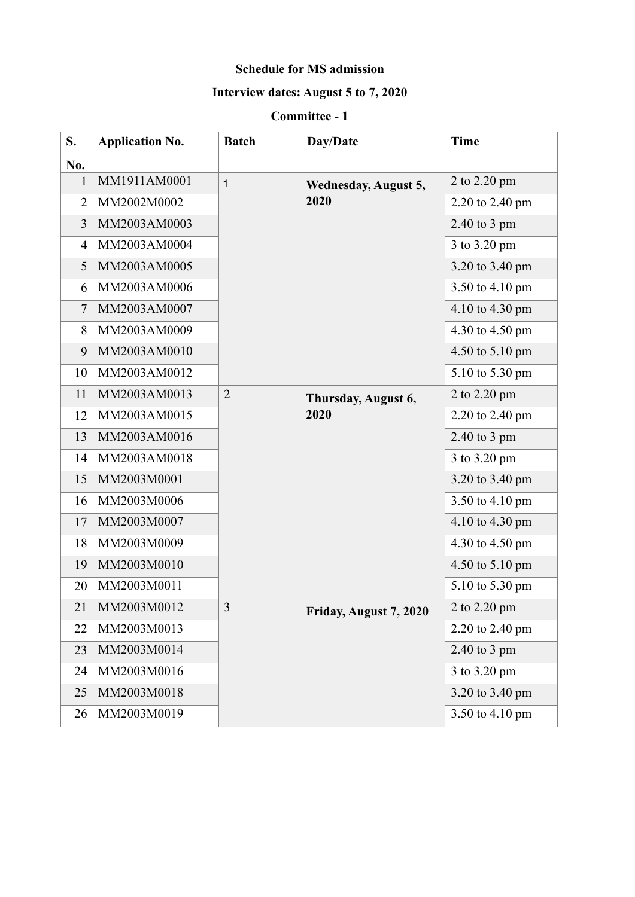#### **Schedule for MS admission**

## **Interview dates: August 5 to 7, 2020**

#### **Committee - 1**

| S.             | <b>Application No.</b> | <b>Batch</b>   | Day/Date                            | <b>Time</b>     |
|----------------|------------------------|----------------|-------------------------------------|-----------------|
| No.            |                        |                |                                     |                 |
| $\mathbf{1}$   | MM1911AM0001           | $\mathbf{1}$   | <b>Wednesday, August 5,</b><br>2020 | 2 to 2.20 pm    |
| $\overline{2}$ | MM2002M0002            |                |                                     | 2.20 to 2.40 pm |
| 3              | MM2003AM0003           |                |                                     | 2.40 to 3 pm    |
| $\overline{4}$ | MM2003AM0004           |                |                                     | 3 to 3.20 pm    |
| 5              | MM2003AM0005           |                |                                     | 3.20 to 3.40 pm |
| 6              | MM2003AM0006           |                |                                     | 3.50 to 4.10 pm |
| $\tau$         | MM2003AM0007           |                |                                     | 4.10 to 4.30 pm |
| 8              | MM2003AM0009           |                |                                     | 4.30 to 4.50 pm |
| 9              | MM2003AM0010           |                |                                     | 4.50 to 5.10 pm |
| 10             | MM2003AM0012           |                |                                     | 5.10 to 5.30 pm |
| 11             | MM2003AM0013           | $\overline{2}$ | Thursday, August 6,<br>2020         | 2 to 2.20 pm    |
| 12             | MM2003AM0015           |                |                                     | 2.20 to 2.40 pm |
| 13             | MM2003AM0016           |                |                                     | 2.40 to 3 pm    |
| 14             | MM2003AM0018           |                |                                     | 3 to 3.20 pm    |
| 15             | MM2003M0001            |                |                                     | 3.20 to 3.40 pm |
| 16             | MM2003M0006            |                |                                     | 3.50 to 4.10 pm |
| 17             | MM2003M0007            |                |                                     | 4.10 to 4.30 pm |
| 18             | MM2003M0009            |                |                                     | 4.30 to 4.50 pm |
| 19             | MM2003M0010            |                |                                     | 4.50 to 5.10 pm |
| 20             | MM2003M0011            |                |                                     | 5.10 to 5.30 pm |
| 21             | MM2003M0012            | 3              | Friday, August 7, 2020              | 2 to 2.20 pm    |
| 22             | MM2003M0013            |                |                                     | 2.20 to 2.40 pm |
| 23             | MM2003M0014            |                |                                     | 2.40 to 3 pm    |
| 24             | MM2003M0016            |                |                                     | 3 to 3.20 pm    |
| 25             | MM2003M0018            |                |                                     | 3.20 to 3.40 pm |
| 26             | MM2003M0019            |                |                                     | 3.50 to 4.10 pm |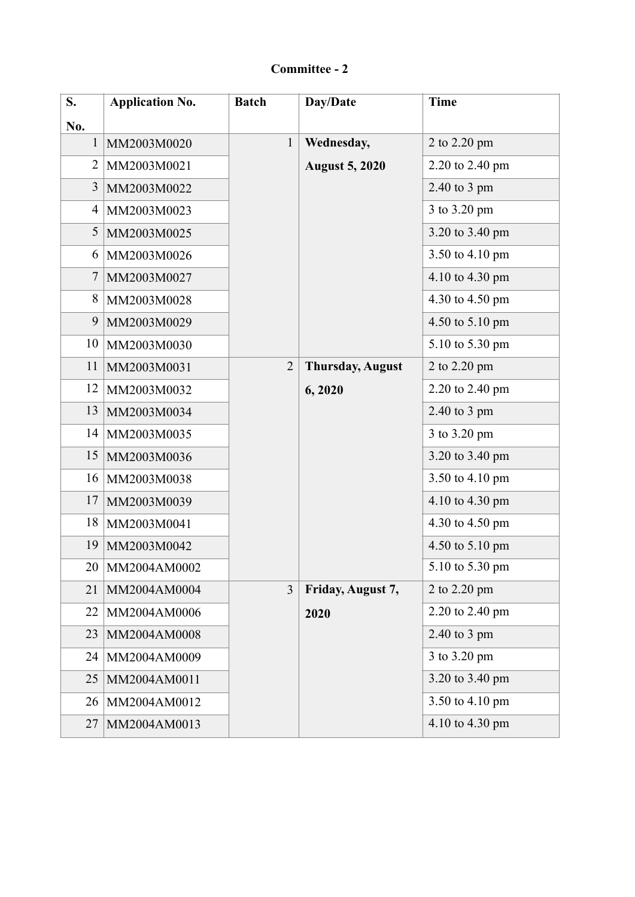# **Committee - 2**

| S.           | <b>Application No.</b> | <b>Batch</b>   | Day/Date                | <b>Time</b>     |
|--------------|------------------------|----------------|-------------------------|-----------------|
| No.          |                        |                |                         |                 |
| $\mathbf{1}$ | MM2003M0020            | $\mathbf{1}$   | Wednesday,              | 2 to 2.20 pm    |
| 2            | MM2003M0021            |                | <b>August 5, 2020</b>   | 2.20 to 2.40 pm |
| 3            | MM2003M0022            |                |                         | 2.40 to 3 pm    |
| 4            | MM2003M0023            |                |                         | 3 to 3.20 pm    |
| 5            | MM2003M0025            |                |                         | 3.20 to 3.40 pm |
| 6            | MM2003M0026            |                |                         | 3.50 to 4.10 pm |
| 7            | MM2003M0027            |                |                         | 4.10 to 4.30 pm |
| 8            | MM2003M0028            |                |                         | 4.30 to 4.50 pm |
| 9            | MM2003M0029            |                |                         | 4.50 to 5.10 pm |
| 10           | MM2003M0030            |                |                         | 5.10 to 5.30 pm |
| 11           | MM2003M0031            | $\overline{2}$ | <b>Thursday, August</b> | 2 to 2.20 pm    |
| 12           | MM2003M0032            |                | 6,2020                  | 2.20 to 2.40 pm |
| 13           | MM2003M0034            |                |                         | $2.40$ to 3 pm  |
| 14           | MM2003M0035            |                |                         | 3 to 3.20 pm    |
| 15           | MM2003M0036            |                |                         | 3.20 to 3.40 pm |
| 16           | MM2003M0038            |                |                         | 3.50 to 4.10 pm |
| 17           | MM2003M0039            |                |                         | 4.10 to 4.30 pm |
| 18           | MM2003M0041            |                |                         | 4.30 to 4.50 pm |
| 19           | MM2003M0042            |                |                         | 4.50 to 5.10 pm |
| 20           | MM2004AM0002           |                |                         | 5.10 to 5.30 pm |
| 21           | MM2004AM0004           | $\overline{3}$ | Friday, August 7,       | 2 to 2.20 pm    |
| 22           | MM2004AM0006           |                | 2020                    | 2.20 to 2.40 pm |
| 23           | MM2004AM0008           |                |                         | 2.40 to 3 pm    |
| 24           | MM2004AM0009           |                |                         | 3 to 3.20 pm    |
| 25           | MM2004AM0011           |                |                         | 3.20 to 3.40 pm |
| 26           | MM2004AM0012           |                |                         | 3.50 to 4.10 pm |
| 27           | MM2004AM0013           |                |                         | 4.10 to 4.30 pm |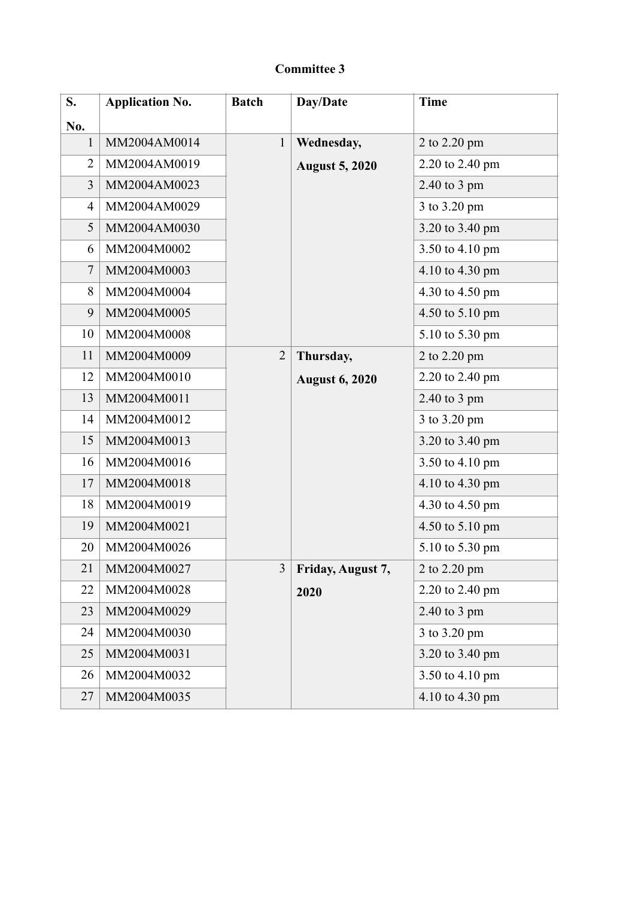| S.             | <b>Application No.</b> | <b>Batch</b>   | Day/Date              | <b>Time</b>     |
|----------------|------------------------|----------------|-----------------------|-----------------|
| No.            |                        |                |                       |                 |
| $\mathbf{1}$   | MM2004AM0014           | $\mathbf{1}$   | Wednesday,            | 2 to 2.20 pm    |
| 2              | MM2004AM0019           |                | <b>August 5, 2020</b> | 2.20 to 2.40 pm |
| 3              | MM2004AM0023           |                |                       | 2.40 to 3 pm    |
| 4              | MM2004AM0029           |                |                       | 3 to 3.20 pm    |
| 5              | MM2004AM0030           |                |                       | 3.20 to 3.40 pm |
| 6              | MM2004M0002            |                |                       | 3.50 to 4.10 pm |
| $\overline{7}$ | MM2004M0003            |                |                       | 4.10 to 4.30 pm |
| 8              | MM2004M0004            |                |                       | 4.30 to 4.50 pm |
| 9              | MM2004M0005            |                |                       | 4.50 to 5.10 pm |
| 10             | MM2004M0008            |                |                       | 5.10 to 5.30 pm |
| 11             | MM2004M0009            | $\overline{2}$ | Thursday,             | 2 to 2.20 pm    |
| 12             | MM2004M0010            |                | <b>August 6, 2020</b> | 2.20 to 2.40 pm |
| 13             | MM2004M0011            |                |                       | 2.40 to 3 pm    |
| 14             | MM2004M0012            |                |                       | 3 to 3.20 pm    |
| 15             | MM2004M0013            |                |                       | 3.20 to 3.40 pm |
| 16             | MM2004M0016            |                |                       | 3.50 to 4.10 pm |
| 17             | MM2004M0018            |                |                       | 4.10 to 4.30 pm |
| 18             | MM2004M0019            |                |                       | 4.30 to 4.50 pm |
| 19             | MM2004M0021            |                |                       | 4.50 to 5.10 pm |
| 20             | MM2004M0026            |                |                       | 5.10 to 5.30 pm |
| 21             | MM2004M0027            | 3              | Friday, August 7,     | 2 to 2.20 pm    |
| 22             | MM2004M0028            |                | 2020                  | 2.20 to 2.40 pm |
| 23             | MM2004M0029            |                |                       | 2.40 to 3 pm    |
| 24             | MM2004M0030            |                |                       | 3 to 3.20 pm    |
| 25             | MM2004M0031            |                |                       | 3.20 to 3.40 pm |
| 26             | MM2004M0032            |                |                       | 3.50 to 4.10 pm |
| 27             | MM2004M0035            |                |                       | 4.10 to 4.30 pm |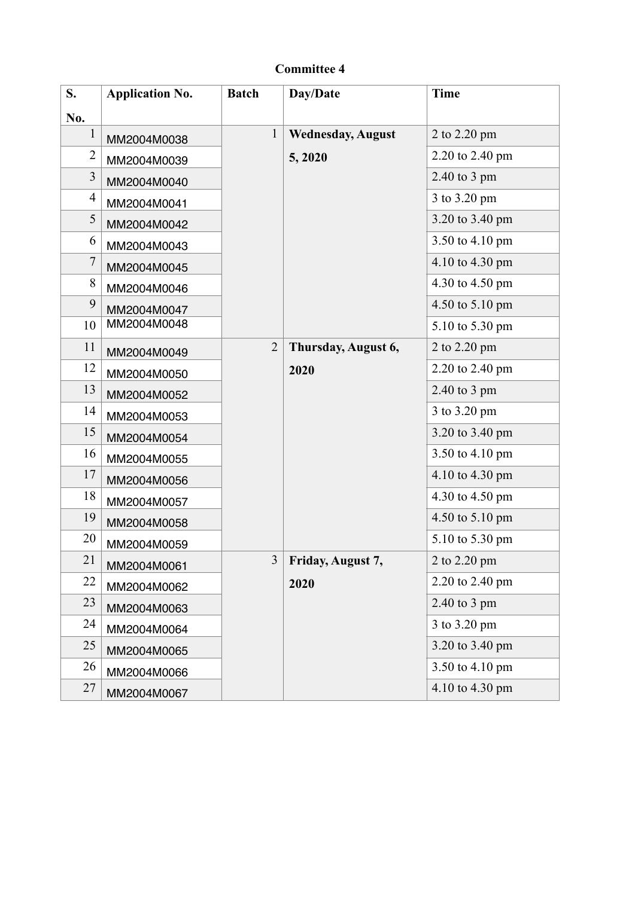| S.             | <b>Application No.</b> | <b>Batch</b>   | Day/Date                 | <b>Time</b>     |
|----------------|------------------------|----------------|--------------------------|-----------------|
| No.            |                        |                |                          |                 |
|                | MM2004M0038            | $\mathbf{1}$   | <b>Wednesday, August</b> | 2 to 2.20 pm    |
| 2              | MM2004M0039            |                | 5, 2020                  | 2.20 to 2.40 pm |
| 3              | MM2004M0040            |                |                          | $2.40$ to 3 pm  |
| $\overline{4}$ | MM2004M0041            |                |                          | 3 to 3.20 pm    |
| 5              | MM2004M0042            |                |                          | 3.20 to 3.40 pm |
| 6              | MM2004M0043            |                |                          | 3.50 to 4.10 pm |
| 7              | MM2004M0045            |                |                          | 4.10 to 4.30 pm |
| 8              | MM2004M0046            |                |                          | 4.30 to 4.50 pm |
| 9              | MM2004M0047            |                |                          | 4.50 to 5.10 pm |
| 10             | MM2004M0048            |                |                          | 5.10 to 5.30 pm |
| 11             | MM2004M0049            | $\overline{2}$ | Thursday, August 6,      | 2 to 2.20 pm    |
| 12             | MM2004M0050            |                | 2020                     | 2.20 to 2.40 pm |
| 13             | MM2004M0052            |                |                          | $2.40$ to 3 pm  |
| 14             | MM2004M0053            |                |                          | 3 to 3.20 pm    |
| 15             | MM2004M0054            |                |                          | 3.20 to 3.40 pm |
| 16             | MM2004M0055            |                |                          | 3.50 to 4.10 pm |
| 17             | MM2004M0056            |                |                          | 4.10 to 4.30 pm |
| 18             | MM2004M0057            |                |                          | 4.30 to 4.50 pm |
| 19             | MM2004M0058            |                |                          | 4.50 to 5.10 pm |
| 20             | MM2004M0059            |                |                          | 5.10 to 5.30 pm |
| 21             | MM2004M0061            | $\overline{3}$ | Friday, August 7,        | 2 to 2.20 pm    |
| 22             | MM2004M0062            |                | 2020                     | 2.20 to 2.40 pm |
| 23             | MM2004M0063            |                |                          | 2.40 to 3 pm    |
| 24             | MM2004M0064            |                |                          | 3 to 3.20 pm    |
| 25             | MM2004M0065            |                |                          | 3.20 to 3.40 pm |
| 26             | MM2004M0066            |                |                          | 3.50 to 4.10 pm |
| 27             | MM2004M0067            |                |                          | 4.10 to 4.30 pm |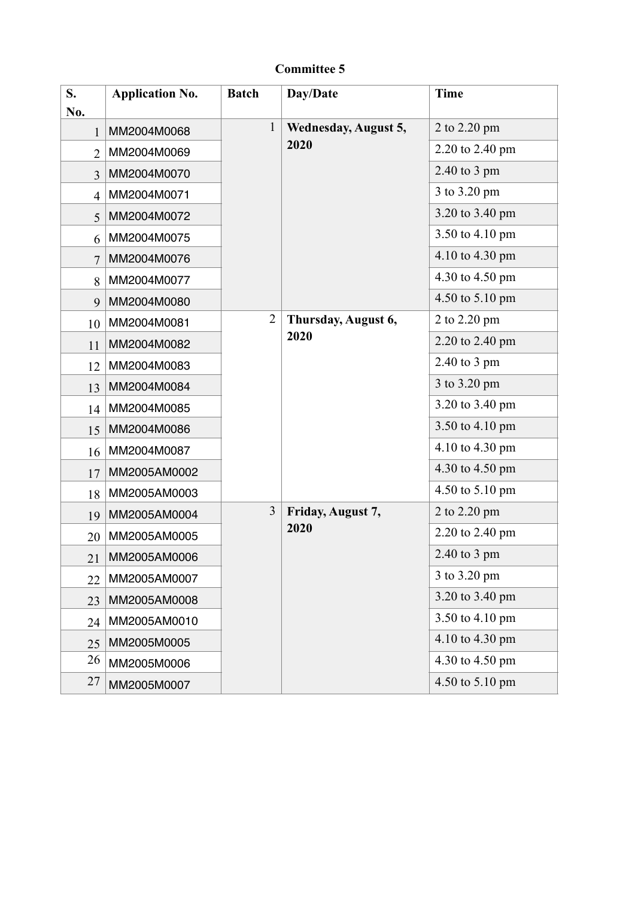| S.<br>No.      | <b>Application No.</b> | <b>Batch</b>   | Day/Date                            | <b>Time</b>     |
|----------------|------------------------|----------------|-------------------------------------|-----------------|
|                | MM2004M0068            | $\mathbf{1}$   | <b>Wednesday, August 5,</b><br>2020 | 2 to 2.20 pm    |
| $\overline{2}$ | MM2004M0069            |                |                                     | 2.20 to 2.40 pm |
| $\overline{3}$ | MM2004M0070            |                |                                     | 2.40 to 3 pm    |
| $\overline{4}$ | MM2004M0071            |                |                                     | 3 to 3.20 pm    |
| 5              | MM2004M0072            |                |                                     | 3.20 to 3.40 pm |
| 6              | MM2004M0075            |                |                                     | 3.50 to 4.10 pm |
| $\overline{7}$ | MM2004M0076            |                |                                     | 4.10 to 4.30 pm |
| 8              | MM2004M0077            |                |                                     | 4.30 to 4.50 pm |
| 9              | MM2004M0080            |                |                                     | 4.50 to 5.10 pm |
| 10             | MM2004M0081            | $\overline{2}$ | Thursday, August 6,                 | 2 to 2.20 pm    |
| 11             | MM2004M0082            |                | 2020                                | 2.20 to 2.40 pm |
| 12             | MM2004M0083            |                |                                     | 2.40 to 3 pm    |
| 13             | MM2004M0084            |                |                                     | 3 to 3.20 pm    |
| 14             | MM2004M0085            |                |                                     | 3.20 to 3.40 pm |
| 15             | MM2004M0086            |                |                                     | 3.50 to 4.10 pm |
| 16             | MM2004M0087            |                |                                     | 4.10 to 4.30 pm |
| 17             | MM2005AM0002           |                |                                     | 4.30 to 4.50 pm |
| 18             | MM2005AM0003           |                |                                     | 4.50 to 5.10 pm |
| 19             | MM2005AM0004           | 3              | Friday, August 7,                   | 2 to 2.20 pm    |
| 20             | MM2005AM0005           |                | 2020                                | 2.20 to 2.40 pm |
| 21             | MM2005AM0006           |                |                                     | $2.40$ to 3 pm  |
| 22             | MM2005AM0007           |                |                                     | 3 to 3.20 pm    |
| 23             | MM2005AM0008           |                |                                     | 3.20 to 3.40 pm |
| 24             | MM2005AM0010           |                |                                     | 3.50 to 4.10 pm |
| 25             | MM2005M0005            |                |                                     | 4.10 to 4.30 pm |
| 26             | MM2005M0006            |                |                                     | 4.30 to 4.50 pm |
| 27             | MM2005M0007            |                |                                     | 4.50 to 5.10 pm |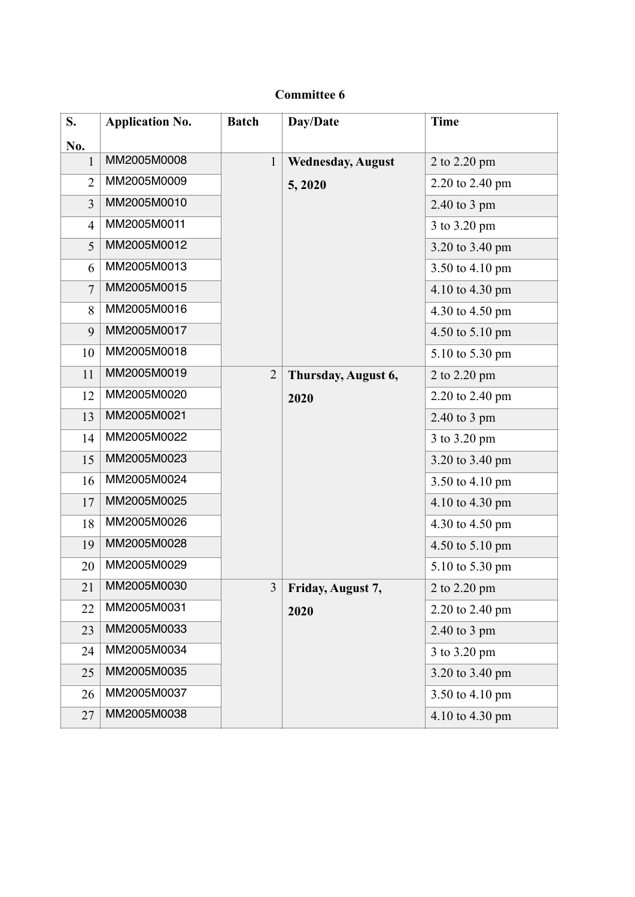| S.             | <b>Application No.</b> | <b>Batch</b>   | Day/Date                 | <b>Time</b>     |
|----------------|------------------------|----------------|--------------------------|-----------------|
| No.            |                        |                |                          |                 |
| 1              | MM2005M0008            | $\mathbf{1}$   | <b>Wednesday, August</b> | 2 to 2.20 pm    |
| $\overline{2}$ | MM2005M0009            |                | 5, 2020                  | 2.20 to 2.40 pm |
| $\overline{3}$ | MM2005M0010            |                |                          | 2.40 to 3 pm    |
| $\overline{4}$ | MM2005M0011            |                |                          | 3 to 3.20 pm    |
| 5              | MM2005M0012            |                |                          | 3.20 to 3.40 pm |
| 6              | MM2005M0013            |                |                          | 3.50 to 4.10 pm |
| $\overline{7}$ | MM2005M0015            |                |                          | 4.10 to 4.30 pm |
| 8              | MM2005M0016            |                |                          | 4.30 to 4.50 pm |
| 9              | MM2005M0017            |                |                          | 4.50 to 5.10 pm |
| 10             | MM2005M0018            |                |                          | 5.10 to 5.30 pm |
| 11             | MM2005M0019            | $\overline{2}$ | Thursday, August 6,      | 2 to 2.20 pm    |
| 12             | MM2005M0020            |                | 2020                     | 2.20 to 2.40 pm |
| 13             | MM2005M0021            |                |                          | 2.40 to 3 pm    |
| 14             | MM2005M0022            |                |                          | 3 to 3.20 pm    |
| 15             | MM2005M0023            |                |                          | 3.20 to 3.40 pm |
| 16             | MM2005M0024            |                |                          | 3.50 to 4.10 pm |
| 17             | MM2005M0025            |                |                          | 4.10 to 4.30 pm |
| 18             | MM2005M0026            |                |                          | 4.30 to 4.50 pm |
| 19             | MM2005M0028            |                |                          | 4.50 to 5.10 pm |
| 20             | MM2005M0029            |                |                          | 5.10 to 5.30 pm |
| 21             | MM2005M0030            | 3              | Friday, August 7,        | 2 to 2.20 pm    |
| 22             | MM2005M0031            |                | 2020                     | 2.20 to 2.40 pm |
| 23             | MM2005M0033            |                |                          | $2.40$ to 3 pm  |
| 24             | MM2005M0034            |                |                          | 3 to 3.20 pm    |
| 25             | MM2005M0035            |                |                          | 3.20 to 3.40 pm |
| 26             | MM2005M0037            |                |                          | 3.50 to 4.10 pm |
| 27             | MM2005M0038            |                |                          | 4.10 to 4.30 pm |